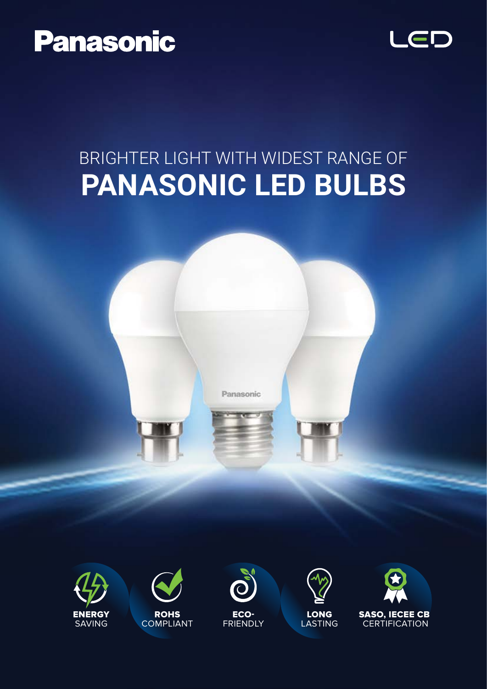



## **PANASONIC LED BULBS** BRIGHTER LIGHT WITH WIDEST RANGE OF













SASO, IECEE CB **CERTIFICATION**